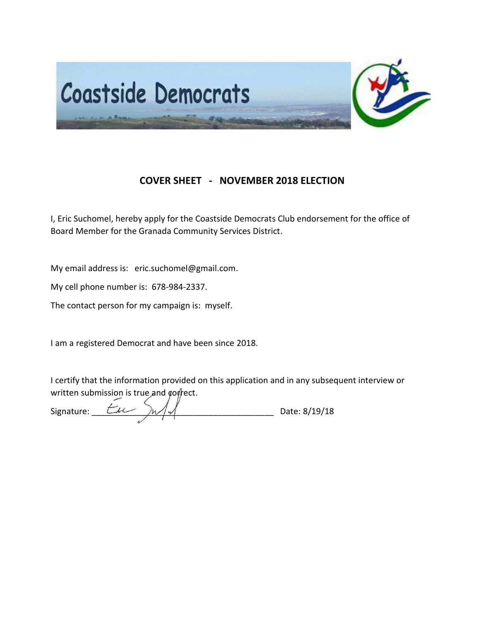

## **COVER SHEET - NOVEMBER 2018 ELECTION**

I, Eric Suchomel, hereby apply for the Coastside Democrats Club endorsement for the office of Board Member for the Granada Community Services District.

My email address is: eric.suchomel@gmail.com.

My cell phone number is: 678-984-2337.

The contact person for my campaign is: myself.

I am a registered Democrat and have been since 2018.

I certify that the information provided on this application and in any subsequent interview or written submission is true and correct.

Signature:  $\frac{L}{L}$   $\frac{L}{L}$   $\frac{L}{L}$   $\frac{L}{L}$   $\frac{L}{L}$   $\frac{L}{L}$   $\frac{L}{L}$   $\frac{L}{L}$  Date: 8/19/18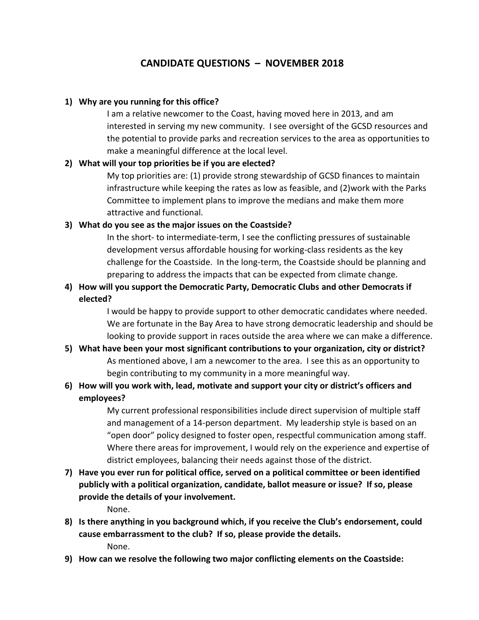# **CANDIDATE QUESTIONS – NOVEMBER 2018**

### **1) Why are you running for this office?**

I am a relative newcomer to the Coast, having moved here in 2013, and am interested in serving my new community. I see oversight of the GCSD resources and the potential to provide parks and recreation services to the area as opportunities to make a meaningful difference at the local level.

### **2) What will your top priorities be if you are elected?**

My top priorities are: (1) provide strong stewardship of GCSD finances to maintain infrastructure while keeping the rates as low as feasible, and (2)work with the Parks Committee to implement plans to improve the medians and make them more attractive and functional.

### **3) What do you see as the major issues on the Coastside?**

In the short- to intermediate-term, I see the conflicting pressures of sustainable development versus affordable housing for working-class residents as the key challenge for the Coastside. In the long-term, the Coastside should be planning and preparing to address the impacts that can be expected from climate change.

## **4) How will you support the Democratic Party, Democratic Clubs and other Democrats if elected?**

I would be happy to provide support to other democratic candidates where needed. We are fortunate in the Bay Area to have strong democratic leadership and should be looking to provide support in races outside the area where we can make a difference.

**5) What have been your most significant contributions to your organization, city or district?** As mentioned above, I am a newcomer to the area. I see this as an opportunity to begin contributing to my community in a more meaningful way.

## **6) How will you work with, lead, motivate and support your city or district's officers and employees?**

My current professional responsibilities include direct supervision of multiple staff and management of a 14-person department. My leadership style is based on an "open door" policy designed to foster open, respectful communication among staff. Where there areas for improvement, I would rely on the experience and expertise of district employees, balancing their needs against those of the district.

**7) Have you ever run for political office, served on a political committee or been identified publicly with a political organization, candidate, ballot measure or issue? If so, please provide the details of your involvement.**

None.

- **8) Is there anything in you background which, if you receive the Club's endorsement, could cause embarrassment to the club? If so, please provide the details.** None.
- **9) How can we resolve the following two major conflicting elements on the Coastside:**